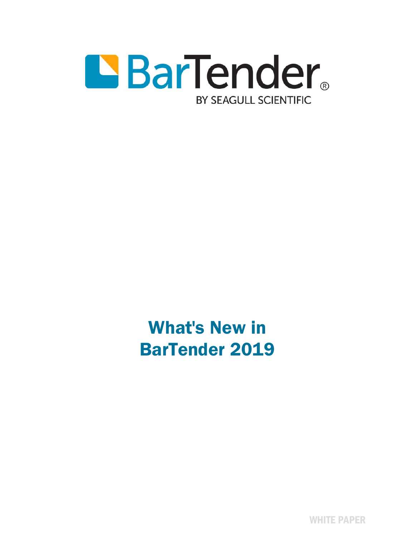

What's New in BarTender 2019

WHITE PAPER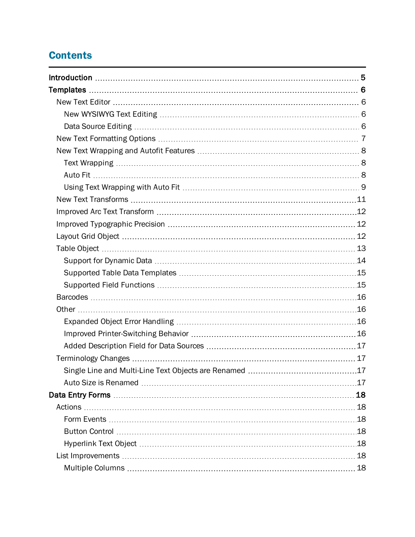# **Contents**

| 18 |
|----|
|    |
|    |
|    |
|    |
|    |
|    |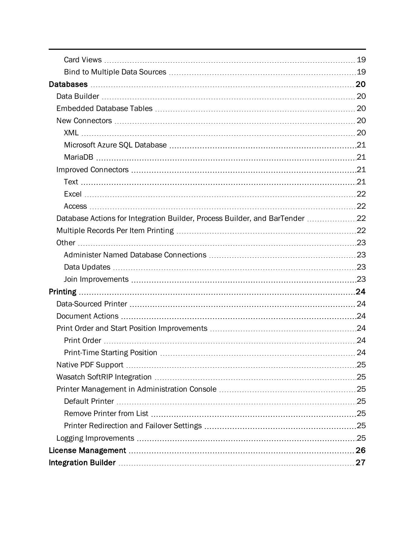| Database Actions for Integration Builder, Process Builder, and BarTender 22 |  |
|-----------------------------------------------------------------------------|--|
|                                                                             |  |
|                                                                             |  |
|                                                                             |  |
|                                                                             |  |
|                                                                             |  |
| Printing                                                                    |  |
|                                                                             |  |
|                                                                             |  |
|                                                                             |  |
|                                                                             |  |
|                                                                             |  |
|                                                                             |  |
|                                                                             |  |
|                                                                             |  |
|                                                                             |  |
|                                                                             |  |
|                                                                             |  |
|                                                                             |  |
|                                                                             |  |
|                                                                             |  |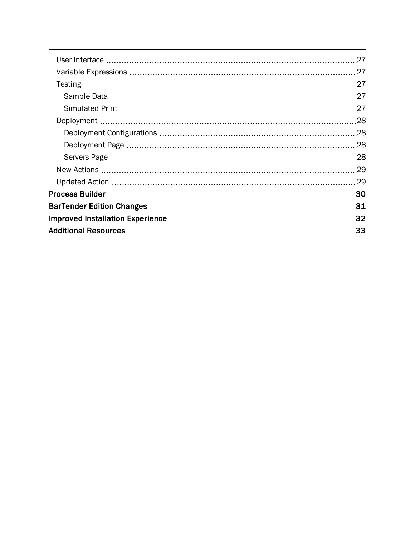|  | 27  |
|--|-----|
|  |     |
|  | 27  |
|  | -27 |
|  |     |
|  | .28 |
|  | .28 |
|  | .28 |
|  | 28  |
|  | .29 |
|  | 29  |
|  | 30  |
|  | .31 |
|  | .32 |
|  | .33 |
|  |     |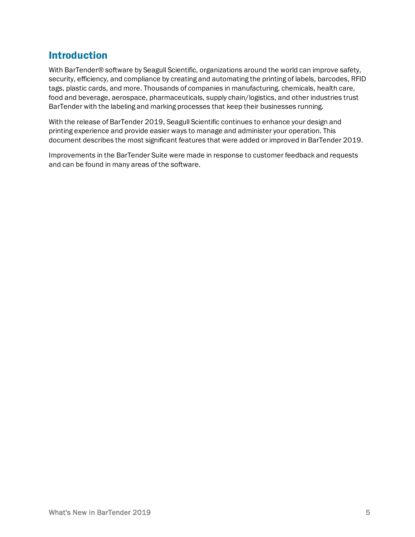# <span id="page-4-0"></span>Introduction

With BarTender® software by Seagull Scientific, organizations around the world can improve safety, security, efficiency, and compliance by creating and automating the printing of labels, barcodes, RFID tags, plastic cards, and more. Thousands of companies in manufacturing, chemicals, health care, food and beverage, aerospace, pharmaceuticals, supply chain/logistics, and other industries trust BarTender with the labeling and marking processes that keep their businesses running.

With the release of BarTender 2019, Seagull Scientific continues to enhance your design and printing experience and provide easier ways to manage and administer your operation. This document describes the most significant features that were added or improved in BarTender 2019.

Improvements in the BarTender Suite were made in response to customer feedback and requests and can be found in many areas of the software.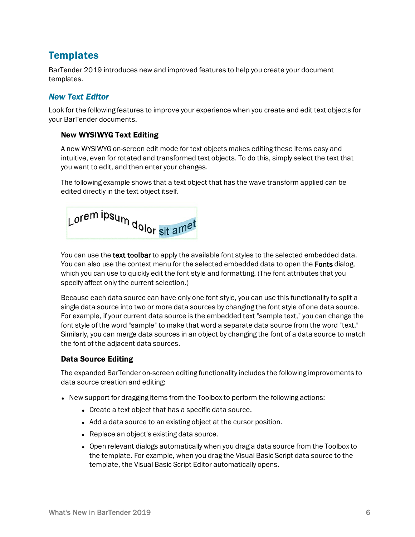# <span id="page-5-0"></span>**Templates**

BarTender 2019 introduces new and improved features to help you create your document templates.

# <span id="page-5-1"></span>*New Text Editor*

Look for the following features to improve your experience when you create and edit text objects for your BarTender documents.

# <span id="page-5-2"></span>New WYSIWYG Text Editing

A new WYSIWYG on-screen edit mode for text objects makes editing these items easy and intuitive, even for rotated and transformed text objects. To do this, simply select the text that you want to edit, and then enter your changes.

The following example shows that a text object that has the wave transform applied can be edited directly in the text object itself.



You can use the text toolbar to apply the available font styles to the selected embedded data. You can also use the context menu for the selected embedded data to open the Fonts dialog, which you can use to quickly edit the font style and formatting. (The font attributes that you specify affect only the current selection.)

Because each data source can have only one font style, you can use this functionality to split a single data source into two or more data sources by changing the font style of one data source. For example, if your current data source is the embedded text "sample text," you can change the font style of the word "sample" to make that word a separate data source from the word "text." Similarly, you can merge data sources in an object by changing the font of a data source to match the font of the adjacent data sources.

# <span id="page-5-3"></span>Data Source Editing

The expanded BarTender on-screen editing functionality includes the following improvements to data source creation and editing:

- New support for dragging items from the Toolbox to perform the following actions:
	- Create a text object that has a specific data source.
	- Add a data source to an existing object at the cursor position.
	- Replace an object's existing data source.
	- Open relevant dialogs automatically when you drag a data source from the Toolbox to the template. For example, when you drag the Visual Basic Script data source to the template, the Visual Basic Script Editor automatically opens.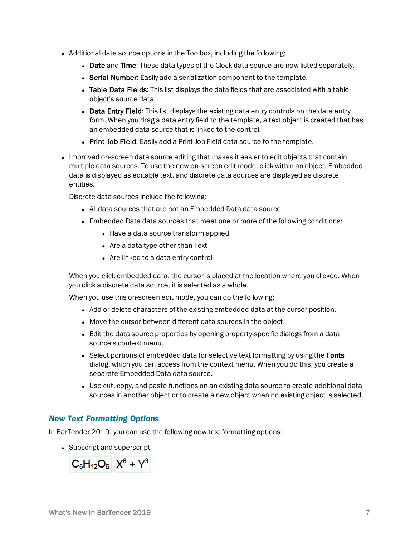- Additional data source options in the Toolbox, including the following:
	- Date and Time: These data types of the Clock data source are now listed separately.
	- Serial Number: Easily add a serialization component to the template.
	- Table Data Fields: This list displays the data fields that are associated with a table object's source data.
	- Data Entry Field: This list displays the existing data entry controls on the data entry form. When you drag a data entry field to the template, a text object is created that has an embedded data source that is linked to the control.
	- Print Job Field: Easily add a Print Job Field data source to the template.
- Improved on-screen data source editing that makes it easier to edit objects that contain multiple data sources. To use the new on-screen edit mode, click within an object. Embedded data is displayed as editable text, and discrete data sources are displayed as discrete entities.

Discrete data sources include the following:

- All data sources that are not an Embedded Data data source
- Embedded Data data sources that meet one or more of the following conditions:
	- Have a data source transform applied
	- $\bullet$  Are a data type other than Text
	- Are linked to a data entry control

When you click embedded data, the cursor is placed at the location where you clicked. When you click a discrete data source, it is selected as a whole.

When you use this on-screen edit mode, you can do the following:

- Add or delete characters of the existing embedded data at the cursor position.
- Move the cursor between different data sources in the object.
- Edit the data source properties by opening property-specific dialogs from a data source's context menu.
- Select portions of embedded data for selective text formatting by using the Fonts dialog. which you can access from the context menu. When you do this, you create a separate Embedded Data data source.
- Use cut, copy, and paste functions on an existing data source to create additional data sources in another object or to create a new object when no existing object is selected.

# <span id="page-6-0"></span>*New Text Formatting Options*

In BarTender 2019, you can use the following new text formatting options:

• Subscript and superscript

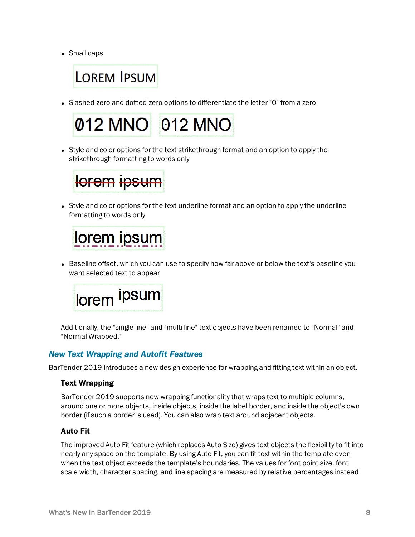• Small caps

# **LOREM IPSUM**

• Slashed-zero and dotted-zero options to differentiate the letter "O" from a zero



• Style and color options for the text strikethrough format and an option to apply the strikethrough formatting to words only



• Style and color options for the text underline format and an option to apply the underline formatting to words only



• Baseline offset, which you can use to specify how far above or below the text's baseline you want selected text to appear



Additionally, the "single line" and "multi line" text objects have been renamed to "Normal" and "Normal Wrapped."

# <span id="page-7-0"></span>*New Text Wrapping and Autofit Features*

BarTender 2019 introduces a new design experience for wrapping and fitting text within an object.

#### <span id="page-7-1"></span>Text Wrapping

BarTender 2019 supports new wrapping functionality that wraps text to multiple columns, around one or more objects, inside objects, inside the label border, and inside the object's own border (if such a border is used). You can also wrap text around adjacent objects.

#### <span id="page-7-2"></span>Auto Fit

The improved Auto Fit feature (which replaces Auto Size) gives text objects the flexibility to fit into nearly any space on the template. By using Auto Fit, you can fit text within the template even when the text object exceeds the template's boundaries. The values for font point size, font scale width, character spacing, and line spacing are measured by relative percentages instead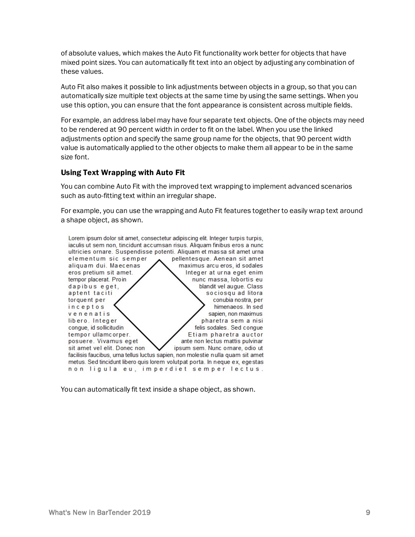of absolute values, which makes the Auto Fit functionality work better for objects that have mixed point sizes. You can automatically fit text into an object by adjusting any combination of these values.

Auto Fit also makes it possible to link adjustments between objects in a group, so that you can automatically size multiple text objects at the same time by using the same settings. When you use this option, you can ensure that the font appearance is consistent across multiple fields.

For example, an address label may have four separate text objects. One of the objects may need to be rendered at 90 percent width in order to fit on the label. When you use the linked adjustments option and specify the same group name for the objects, that 90 percent width value is automatically applied to the other objects to make them all appear to be in the same size font.

### <span id="page-8-0"></span>Using Text Wrapping with Auto Fit

You can combine Auto Fit with the improved text wrapping to implement advanced scenarios such as auto-fitting text within an irregular shape.

For example, you can use the wrapping and Auto Fit features together to easily wrap text around a shape object, as shown.



You can automatically fit text inside a shape object, as shown.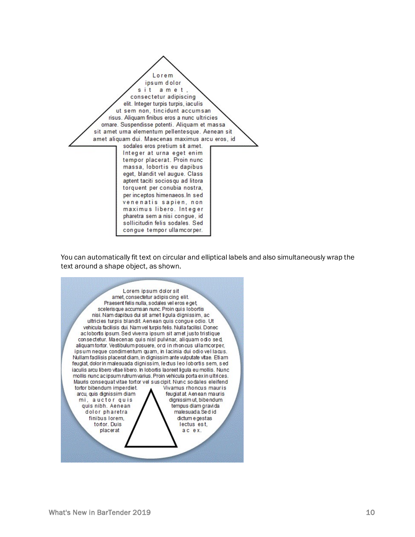

You can automatically fit text on circular and elliptical labels and also simultaneously wrap the text around a shape object, as shown.

Lorem ipsum dolor sit amet, consectetur adipis cing elit. Praesent felis nulla, sodales vel eros e get scelerisque accumsan nunc. Proin quis lobortis nisi. Nam dapibus dui sit amet li gula dignissim, ac ultricies turpis blandit. Aenean quis congue odio. Ut vehicula facilisis dui. Nam vel turpis felis. Nulla facilisi. Donec aclobortis ipsum. Sed viverra ipsum sit amet justo tristique consectetur. Maecenas quis nisl pulvinar, aliquam odio sed, aliquam tortor. Vestibulum posuere, or d in rhoncus ullamcorper, ipsum neque condimentum quam, in lacinia dui odio vel lacus. Nullam facilisis placerat diam, in dignissim ante vulputate vitae. Etiam feugiat, dolor in malesuada dignissim, lectus leo lobortis sem, sed iaculis arcu libero vitae libero. In lobortis laoreet ligula eu mollis. Nunc mollis nunc ac ipsum rutrum varius. Proin vehicula porta ex in ultrices. Mauris consequat vitae tortor vel suscipit. Nunc sodales eleifend tortor bibendum imperdiet. Vivamus rhoncus mauris arcu, quis dignissim diam feugiat at Aenean mauris dignissim ut, bibendum mi, auctor quis quis nibh. Aenean tempus diam gravida dolor pharetra malesuada. Se did finibus lorem, dictum e gestas tortor. Duis lectus est, placerat ac ex.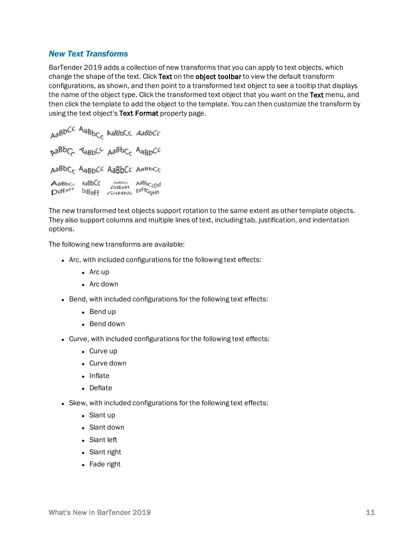# <span id="page-10-0"></span>*New Text Transforms*

BarTender 2019 adds a collection of new transforms that you can apply to text objects, which change the shape of the text. Click Text on the object toolbar to view the default transform configurations, as shown, and then point to a transformed text object to see a tooltip that displays the name of the object type. Click the transformed text object that you want on the Text menu, and then click the template to add the object to the template. You can then customize the transform by using the text object's Text Format property page.

```
AaBbCC AaBbC<sub>C</sub> AaBbCc AaBbCc
DaBbC ABBOC ABBOC ABBOCC
AaBbCc AaBbCC AaBbCc AaBbCc
AaBbcc AaBbCC
                Antisco AaBbCcDd
DdEe<sup>Ff</sup>
         DdEeFf GOHNI EeFfGgHh
```
The new transformed text objects support rotation to the same extent as other template objects. They also support columns and multiple lines of text, including tab, justification, and indentation options.

The following new transforms are available:

- $\bullet$  Arc, with included configurations for the following text effects:
	- $\bullet$  Arc up
	- $\bullet$  Arc down
- Bend, with included configurations for the following text effects:
	- $\bullet$  Bend up
	- $\bullet$  Bend down
- Curve, with included configurations for the following text effects:
	- $\bullet$  Curve up
	- $\bullet$  Curve down
	- $\bullet$  Inflate
	- Deflate
- Skew, with included configurations for the following text effects:
	- Slant up
	- Slant down
	- Slant left
	- Slant right
	- Fade right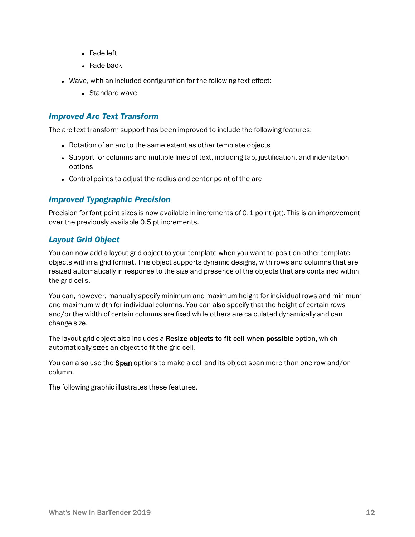- $\bullet$  Fade left
- $\bullet$  Fade back
- Wave, with an included configuration for the following text effect:
	- $\bullet$  Standard wave

# <span id="page-11-0"></span>*Improved Arc Text Transform*

The arc text transform support has been improved to include the following features:

- Rotation of an arc to the same extent as other template objects
- Support for columns and multiple lines of text, including tab, justification, and indentation options
- Control points to adjust the radius and center point of the arc

# <span id="page-11-1"></span>*Improved Typographic Precision*

Precision for font point sizes is now available in increments of 0.1 point (pt). This is an improvement over the previously available 0.5 pt increments.

### <span id="page-11-2"></span>*Layout Grid Object*

You can now add a layout grid object to your template when you want to position other template objects within a grid format. This object supports dynamic designs, with rows and columns that are resized automatically in response to the size and presence of the objects that are contained within the grid cells.

You can, however, manually specify minimum and maximum height for individual rows and minimum and maximum width for individual columns. You can also specify that the height of certain rows and/or the width of certain columns are fixed while others are calculated dynamically and can change size.

The layout grid object also includes a Resize objects to fit cell when possible option, which automatically sizes an object to fit the grid cell.

You can also use the **Span** options to make a cell and its object span more than one row and/or column.

The following graphic illustrates these features.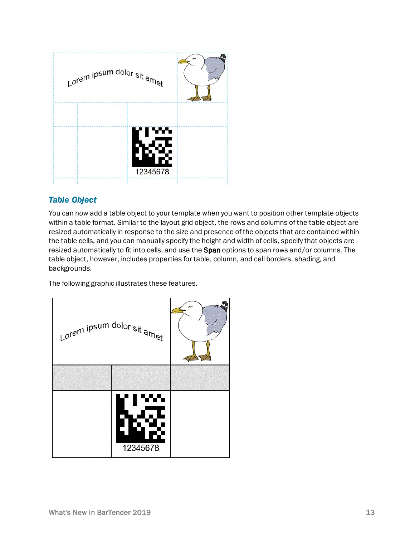

# <span id="page-12-0"></span>*Table Object*

You can now add a table object to your template when you want to position other template objects within a table format. Similar to the layout grid object, the rows and columns of the table object are resized automatically in response to the size and presence of the objects that are contained within the table cells, and you can manually specify the height and width of cells, specify that objects are resized automatically to fit into cells, and use the Span options to span rows and/or columns. The table object, however, includes properties for table, column, and cell borders, shading, and backgrounds.

The following graphic illustrates these features.

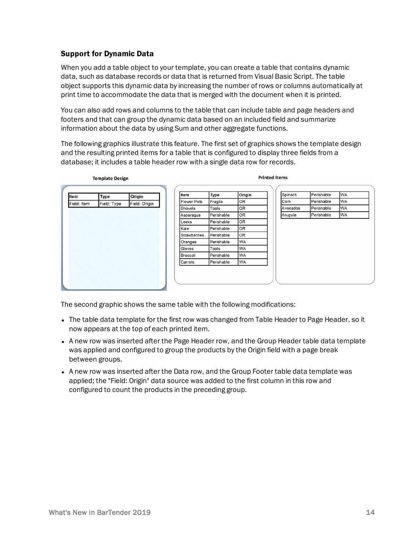# <span id="page-13-0"></span>Support for Dynamic Data

When you add a table object to your template, you can create a table that contains dynamic data, such as database records or data that is returned from Visual Basic Script. The table object supports this dynamic data by increasing the number of rows or columns automatically at print time to accommodate the data that is merged with the document when it is printed.

You can also add rows and columns to the table that can include table and page headers and footers and that can group the dynamic data based on an included field and summarize information about the data by using Sum and other aggregate functions.

The following graphics illustrate this feature. The first set of graphics shows the template design and the resulting printed items for a table that is configured to display three fields from a database; it includes a table header row with a single data row for records.

| Item        | <b>Type</b> | Origin        | Item                | <b>Type</b> | Origin    | Spinach  | Perishable | <b>WA</b> |
|-------------|-------------|---------------|---------------------|-------------|-----------|----------|------------|-----------|
| Field: Item | Field: Type | Field: Origin | <b>Flower Pots</b>  | Fragile     | OR        | Corn     | Perishable | <b>WA</b> |
|             |             |               | Shovels             | Tools       | OR        | Avocados | Perishable | <b>WA</b> |
|             |             |               | Asparagus           | Perishable  | OR        | Arugula  | Perishable | <b>WA</b> |
|             |             |               | Leeks               | Perishable  | OR        |          |            |           |
|             |             |               | Kale                | Perishable  | OR        |          |            |           |
|             |             |               | <b>Strawberries</b> | Perishable  | OR        |          |            |           |
|             |             |               | Oranges             | Perishable  | WA        |          |            |           |
|             |             |               | Gloves              | Tools       | <b>WA</b> |          |            |           |
|             |             |               | Broccoli            | Perishable  | <b>WA</b> |          |            |           |
|             |             |               | Carrots             | Perishable  | <b>WA</b> |          |            |           |

The second graphic shows the same table with the following modifications:

- The table data template for the first row was changed from Table Header to Page Header, so it now appears at the top of each printed item.
- A new row was inserted after the Page Header row, and the Group Header table data template was applied and configured to group the products by the Origin field with a page break between groups.
- A new row was inserted after the Data row, and the Group Footer table data template was applied; the "Field: Origin" data source was added to the first column in this row and configured to count the products in the preceding group.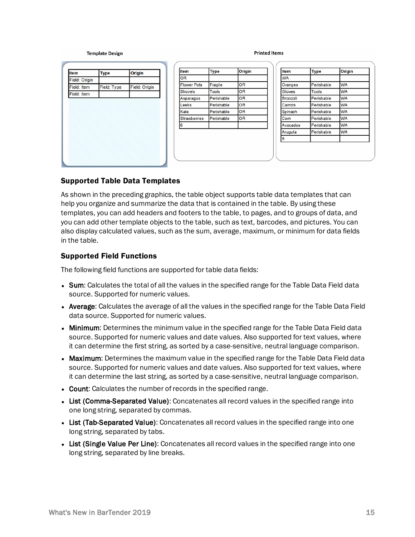#### **Template Design**

#### **Printed Items**

| Item          | <b>Type</b> | Origin        |
|---------------|-------------|---------------|
| Field: Origin |             |               |
| Field: Item   | Field: Type | Field: Origin |
| Field: Item   |             |               |
|               |             |               |
|               |             |               |
|               |             |               |
|               |             |               |
|               |             |               |
|               |             |               |
|               |             |               |
|               |             |               |

| Item                | <b>Type</b> | Origin    |
|---------------------|-------------|-----------|
| <b>OR</b>           |             |           |
| <b>Flower Pots</b>  | Fragile     | <b>OR</b> |
| Shovels             | Tools       | OR        |
| Asparagus           | Perishable  | <b>OR</b> |
| Leeks               | Perishable  | OR        |
| Kale                | Perishable  | OR        |
| <b>Strawberries</b> | Perishable  | OR        |
| 6                   |             |           |

| Item      | Type       | Origin    |  |
|-----------|------------|-----------|--|
| <b>WA</b> |            |           |  |
| Oranges   | Perishable | <b>WA</b> |  |
| Gloves    | Tools      | <b>WA</b> |  |
| Broccoli  | Perishable | <b>WA</b> |  |
| Carrots   | Perishable | <b>WA</b> |  |
| Spinach   | Perishable | <b>WA</b> |  |
| Corn      | Perishable | <b>WA</b> |  |
| Avocados  | Perishable | <b>WA</b> |  |
| Arugula   | Perishable | <b>WA</b> |  |
| 8         |            |           |  |

#### <span id="page-14-0"></span>Supported Table Data Templates

As shown in the preceding graphics, the table object supports table data templates that can help you organize and summarize the data that is contained in the table. By using these templates, you can add headers and footers to the table, to pages, and to groups of data, and you can add other template objects to the table, such as text, barcodes, and pictures. You can also display calculated values, such as the sum, average, maximum, or minimum for data fields in the table.

#### <span id="page-14-1"></span>Supported Field Functions

The following field functions are supported for table data fields:

- Sum: Calculates the total of all the values in the specified range for the Table Data Field data source. Supported for numeric values.
- Average: Calculates the average of all the values in the specified range for the Table Data Field data source. Supported for numeric values.
- Minimum: Determines the minimum value in the specified range for the Table Data Field data source. Supported for numeric values and date values. Also supported for text values, where it can determine the first string, as sorted by a case-sensitive, neutral language comparison.
- Maximum: Determines the maximum value in the specified range for the Table Data Field data source. Supported for numeric values and date values. Also supported for text values, where it can determine the last string, as sorted by a case-sensitive, neutral language comparison.
- Count: Calculates the number of records in the specified range.
- List (Comma-Separated Value): Concatenates all record values in the specified range into one long string, separated by commas.
- List (Tab-Separated Value): Concatenates all record values in the specified range into one long string, separated by tabs.
- List (Single Value Per Line): Concatenates all record values in the specified range into one long string, separated by line breaks.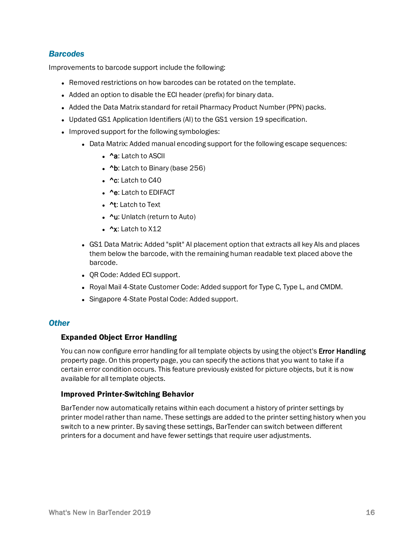### <span id="page-15-0"></span>*Barcodes*

Improvements to barcode support include the following:

- Removed restrictions on how barcodes can be rotated on the template.
- Added an option to disable the ECI header (prefix) for binary data.
- Added the Data Matrix standard for retail Pharmacy Product Number (PPN) packs.
- Updated GS1 Application Identifiers (AI) to the GS1 version 19 specification.
- Improved support for the following symbologies:
	- Data Matrix: Added manual encoding support for the following escape sequences:
		- ^a: Latch to ASCII
		- $\Delta b$ : Latch to Binary (base 256)
		- $\cdot$  ^c: Latch to C40
		- ^e: Latch to EDIFACT
		- ^t: Latch to Text
		- ^u: Unlatch (return to Auto)
		- $\cdot$   $^{\prime}$ x: Latch to X12
	- GS1 Data Matrix: Added "split" AI placement option that extracts all key AIs and places them below the barcode, with the remaining human readable text placed above the barcode.
	- OR Code: Added ECI support.
	- Royal Mail 4-State Customer Code: Added support for Type C, Type L, and CMDM.
	- Singapore 4-State Postal Code: Added support.

#### <span id="page-15-1"></span>*Other*

#### <span id="page-15-2"></span>Expanded Object Error Handling

You can now configure error handling for all template objects by using the object's **Error Handling** property page. On this property page, you can specify the actions that you want to take if a certain error condition occurs. This feature previously existed for picture objects, but it is now available for all template objects.

#### <span id="page-15-3"></span>Improved Printer-Switching Behavior

BarTender now automatically retains within each document a history of printer settings by printer model rather than name. These settings are added to the printer setting history when you switch to a new printer. By saving these settings, BarTender can switch between different printers for a document and have fewer settings that require user adjustments.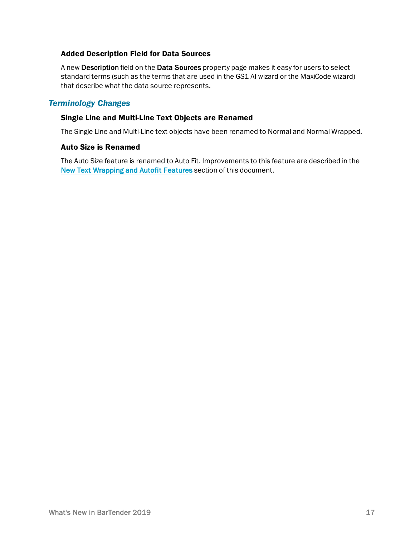### <span id="page-16-0"></span>Added Description Field for Data Sources

A new Description field on the Data Sources property page makes it easy for users to select standard terms (such as the terms that are used in the GS1 AI wizard or the MaxiCode wizard) that describe what the data source represents.

# <span id="page-16-1"></span>*Terminology Changes*

#### <span id="page-16-2"></span>Single Line and Multi-Line Text Objects are Renamed

<span id="page-16-3"></span>The Single Line and Multi-Line text objects have been renamed to Normal and Normal Wrapped.

#### Auto Size is Renamed

The Auto Size feature is renamed to Auto Fit. Improvements to this feature are described in the New Text [Wrapping](#page-7-0) and Autofit Features section of this document.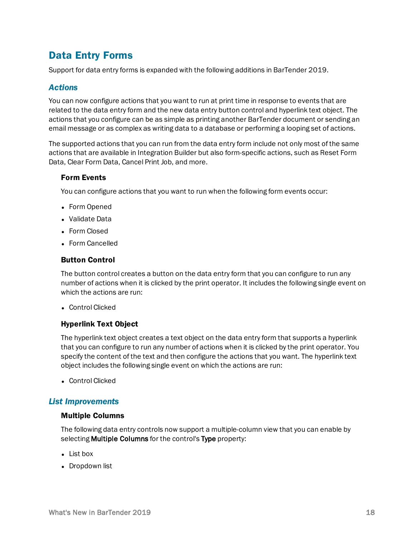# <span id="page-17-0"></span>Data Entry Forms

<span id="page-17-1"></span>Support for data entry forms is expanded with the following additions in BarTender 2019.

# *Actions*

You can now configure actions that you want to run at print time in response to events that are related to the data entry form and the new data entry button control and hyperlink text object. The actions that you configure can be as simple as printing another BarTender document or sending an email message or as complex as writing data to a database or performing a looping set of actions.

The supported actions that you can run from the data entry form include not only most of the same actions that are available in Integration Builder but also form-specific actions, such as Reset Form Data, Clear Form Data, Cancel Print Job, and more.

#### <span id="page-17-2"></span>Form Events

You can configure actions that you want to run when the following form events occur:

- Form Opened
- Validate Data
- Form Closed
- <span id="page-17-3"></span>• Form Cancelled

#### Button Control

The button control creates a button on the data entry form that you can configure to run any number of actions when it is clicked by the print operator. It includes the following single event on which the actions are run:

<span id="page-17-4"></span>**Control Clicked** 

#### Hyperlink Text Object

The hyperlink text object creates a text object on the data entry form that supports a hyperlink that you can configure to run any number of actions when it is clicked by the print operator. You specify the content of the text and then configure the actions that you want. The hyperlink text object includes the following single event on which the actions are run:

• Control Clicked

#### <span id="page-17-5"></span>*List Improvements*

#### <span id="page-17-6"></span>Multiple Columns

The following data entry controls now support a multiple-column view that you can enable by selecting **Multiple Columns** for the control's Type property:

- $\bullet$  List box
- Dropdown list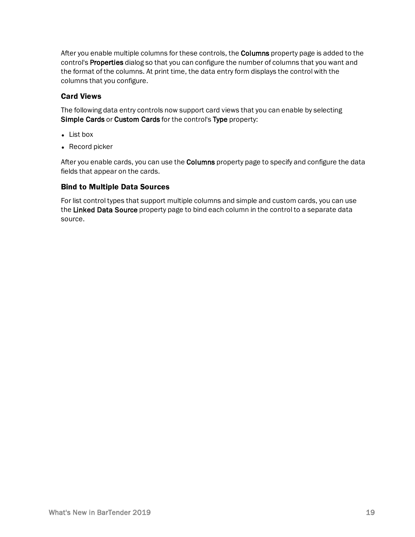After you enable multiple columns for these controls, the **Columns** property page is added to the control's Properties dialog so that you can configure the number of columns that you want and the format of the columns. At print time, the data entry form displays the control with the columns that you configure.

# <span id="page-18-0"></span>Card Views

The following data entry controls now support card views that you can enable by selecting Simple Cards or Custom Cards for the control's Type property:

- $\bullet$  List box
- $\bullet$  Record picker

After you enable cards, you can use the **Columns** property page to specify and configure the data fields that appear on the cards.

#### <span id="page-18-1"></span>Bind to Multiple Data Sources

For list control types that support multiple columns and simple and custom cards, you can use the Linked Data Source property page to bind each column in the control to a separate data source.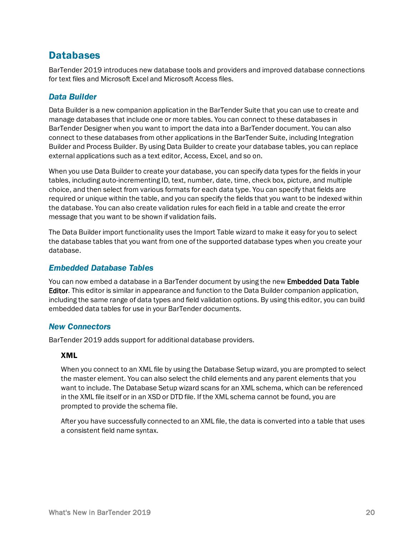# <span id="page-19-0"></span>**Databases**

BarTender 2019 introduces new database tools and providers and improved database connections for text files and Microsoft Excel and Microsoft Access files.

# <span id="page-19-1"></span>*Data Builder*

Data Builder is a new companion application in the BarTender Suite that you can use to create and manage databases that include one or more tables. You can connect to these databases in BarTender Designer when you want to import the data into a BarTender document. You can also connect to these databases from other applications in the BarTender Suite, including Integration Builder and Process Builder. By using Data Builder to create your database tables, you can replace external applications such as a text editor, Access, Excel, and so on.

When you use Data Builder to create your database, you can specify data types for the fields in your tables, including auto-incrementing ID, text, number, date, time, check box, picture, and multiple choice, and then select from various formats for each data type. You can specify that fields are required or unique within the table, and you can specify the fields that you want to be indexed within the database. You can also create validation rules for each field in a table and create the error message that you want to be shown if validation fails.

The Data Builder import functionality uses the Import Table wizard to make it easy for you to select the database tables that you want from one of the supported database types when you create your database.

# <span id="page-19-2"></span>*Embedded Database Tables*

You can now embed a database in a BarTender document by using the new **Embedded Data Table** Editor. This editor is similar in appearance and function to the Data Builder companion application, including the same range of data types and field validation options. By using this editor, you can build embedded data tables for use in your BarTender documents.

# <span id="page-19-3"></span>*New Connectors*

BarTender 2019 adds support for additional database providers.

#### <span id="page-19-4"></span>XML

When you connect to an XML file by using the Database Setup wizard, you are prompted to select the master element. You can also select the child elements and any parent elements that you want to include. The Database Setup wizard scans for an XML schema, which can be referenced in the XML file itself or in an XSD or DTD file. If the XML schema cannot be found, you are prompted to provide the schema file.

After you have successfully connected to an XML file, the data is converted into a table that uses a consistent field name syntax.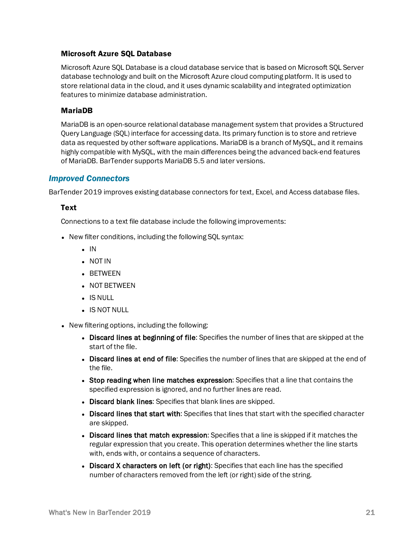#### <span id="page-20-0"></span>Microsoft Azure SQL Database

Microsoft Azure SQL Database is a cloud database service that is based on Microsoft SQL Server database technology and built on the Microsoft Azure cloud computing platform. It is used to store relational data in the cloud, and it uses dynamic scalability and integrated optimization features to minimize database administration.

#### <span id="page-20-1"></span>MariaDB

MariaDB is an open-source relational database management system that provides a Structured Query Language (SQL) interface for accessing data. Its primary function is to store and retrieve data as requested by other software applications. MariaDB is a branch of MySQL, and it remains highly compatible with MySQL, with the main differences being the advanced back-end features of MariaDB. BarTender supports MariaDB 5.5 and later versions.

### <span id="page-20-2"></span>*Improved Connectors*

BarTender 2019 improves existing database connectors for text, Excel, and Access database files.

#### <span id="page-20-3"></span>**Text**

Connections to a text file database include the following improvements:

- New filter conditions, including the following SQL syntax:
	- $\blacksquare$  IN
	- NOT IN
	- $-BETWEEN$
	- **.** NOT BETWEEN
	- $\blacksquare$  IS NULL
	- IS NOT NULL
- New filtering options, including the following:
	- Discard lines at beginning of file: Specifies the number of lines that are skipped at the start of the file.
	- Discard lines at end of file: Specifies the number of lines that are skipped at the end of the file.
	- Stop reading when line matches expression: Specifies that a line that contains the specified expression is ignored, and no further lines are read.
	- Discard blank lines: Specifies that blank lines are skipped.
	- Discard lines that start with: Specifies that lines that start with the specified character are skipped.
	- Discard lines that match expression: Specifies that a line is skipped if it matches the regular expression that you create. This operation determines whether the line starts with, ends with, or contains a sequence of characters.
	- Discard X characters on left (or right): Specifies that each line has the specified number of characters removed from the left (or right) side of the string.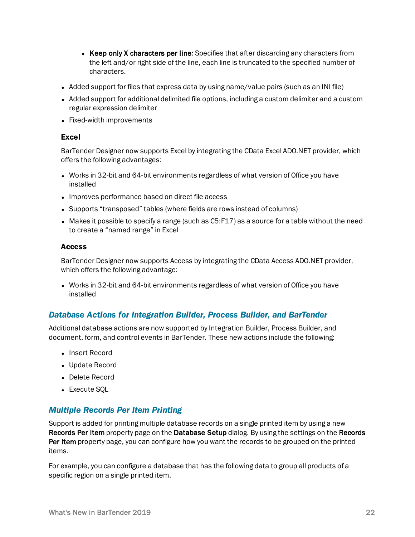- Keep only X characters per line: Specifies that after discarding any characters from the left and/or right side of the line, each line is truncated to the specified number of characters.
- Added support for files that express data by using name/value pairs (such as an INI file)
- Added support for additional delimited file options, including a custom delimiter and a custom regular expression delimiter
- <span id="page-21-0"></span>• Fixed-width improvements

#### Excel

BarTender Designer now supports Excel by integrating the CData Excel ADO.NET provider, which offers the following advantages:

- Works in 32-bit and 64-bit environments regardless of what version of Office you have installed
- Improves performance based on direct file access
- Supports "transposed" tables (where fields are rows instead of columns)
- $\bullet$  Makes it possible to specify a range (such as C5:F17) as a source for a table without the need to create a "named range" in Excel

#### <span id="page-21-1"></span>Access

BarTender Designer now supports Access by integrating the CData Access ADO.NET provider, which offers the following advantage:

• Works in 32-bit and 64-bit environments regardless of what version of Office you have installed

# <span id="page-21-2"></span>*Database Actions for Integration Builder, Process Builder, and BarTender*

Additional database actions are now supported by Integration Builder, Process Builder, and document, form, and control events in BarTender. These new actions include the following:

- Insert Record
- Update Record
- Delete Record
- Execute SOL

# <span id="page-21-3"></span>*Multiple Records Per Item Printing*

Support is added for printing multiple database records on a single printed item by using a new Records Per Item property page on the Database Setup dialog. By using the settings on the Records Per Item property page, you can configure how you want the records to be grouped on the printed items.

For example, you can configure a database that has the following data to group all products of a specific region on a single printed item.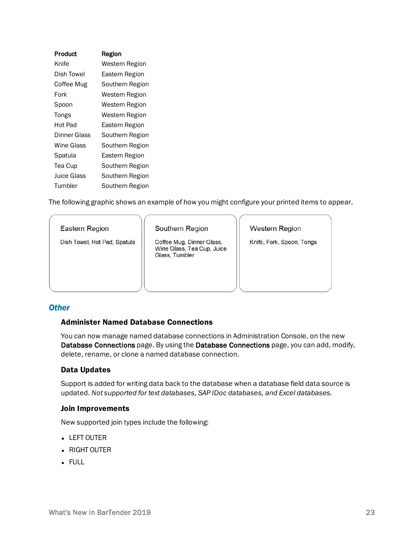| Product      | Region          |
|--------------|-----------------|
| Knife        | Western Region  |
| Dish Towel   | Eastern Region  |
| Coffee Mug   | Southern Region |
| Fork         | Western Region  |
| Spoon        | Western Region  |
| Tongs        | Western Region  |
| Hot Pad      | Eastern Region  |
| Dinner Glass | Southern Region |
| Wine Glass   | Southern Region |
| Spatula      | Eastern Region  |
| Tea Cup      | Southern Region |
| Juice Glass  | Southern Region |
| Tumbler      | Southern Region |

The following graphic shows an example of how you might configure your printed items to appear.

#### **Eastern Region**

Dish Towel, Hot Pad, Spatula

Southern Region

Coffee Mug, Dinner Glass, Wine Glass, Tea Cup, Juice Glass, Tumbler

**Western Region** 

Knife, Fork, Spoon, Tongs

#### <span id="page-22-0"></span>*Other*

#### <span id="page-22-1"></span>Administer Named Database Connections

You can now manage named database connections in Administration Console, on the new Database Connections page. By using the Database Connections page, you can add, modify, delete, rename, or clone a named database connection.

#### <span id="page-22-2"></span>Data Updates

Support is added for writing data back to the database when a database field data source is updated. *Not supported for text databases, SAP IDoc databases, and Excel databases.*

#### <span id="page-22-3"></span>Join Improvements

New supported join types include the following:

- LEFT OUTER
- $\bullet$  RIGHT OUTER
- $\bullet$  FULL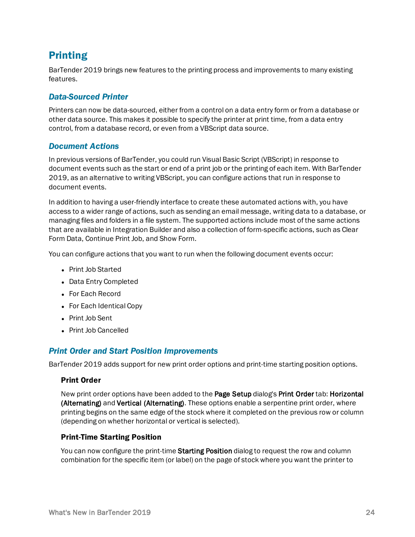# <span id="page-23-0"></span>Printing

BarTender 2019 brings new features to the printing process and improvements to many existing features.

# <span id="page-23-1"></span>*Data-Sourced Printer*

Printers can now be data-sourced, either from a control on a data entry form or from a database or other data source. This makes it possible to specify the printer at print time, from a data entry control, from a database record, or even from a VBScript data source.

### <span id="page-23-2"></span>*Document Actions*

In previous versions of BarTender, you could run Visual Basic Script (VBScript) in response to document events such as the start or end of a print job or the printing of each item. With BarTender 2019, as an alternative to writing VBScript, you can configure actions that run in response to document events.

In addition to having a user-friendly interface to create these automated actions with, you have access to a wider range of actions, such as sending an email message, writing data to a database, or managing files and folders in a file system. The supported actions include most of the same actions that are available in Integration Builder and also a collection of form-specific actions, such as Clear Form Data, Continue Print Job, and Show Form.

You can configure actions that you want to run when the following document events occur:

- Print Job Started
- Data Entry Completed
- For Each Record
- For Each Identical Copy
- Print Job Sent
- **Print Job Cancelled**

# <span id="page-23-3"></span>*Print Order and Start Position Improvements*

BarTender 2019 adds support for new print order options and print-time starting position options.

#### <span id="page-23-4"></span>Print Order

New print order options have been added to the Page Setup dialog's Print Order tab: Horizontal (Alternating) and Vertical (Alternating). These options enable a serpentine print order, where printing begins on the same edge of the stock where it completed on the previous row or column (depending on whether horizontal or vertical is selected).

#### <span id="page-23-5"></span>Print-Time Starting Position

You can now configure the print-time Starting Position dialog to request the row and column combination for the specific item (or label) on the page of stock where you want the printer to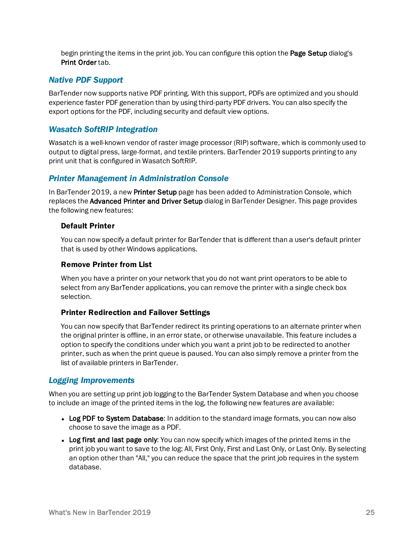begin printing the items in the print job. You can configure this option the **Page Setup** dialog's Print Order tab.

# <span id="page-24-0"></span>*Native PDF Support*

BarTender now supports native PDF printing. With this support, PDFs are optimized and you should experience faster PDF generation than by using third-party PDF drivers. You can also specify the export options for the PDF, including security and default view options.

# <span id="page-24-1"></span>*Wasatch SoftRIP Integration*

Wasatch is a well-known vendor of raster image processor (RIP) software, which is commonly used to output to digital press, large-format, and textile printers. BarTender 2019 supports printing to any print unit that is configured in Wasatch SoftRIP.

# <span id="page-24-2"></span>*Printer Management in Administration Console*

In BarTender 2019, a new Printer Setup page has been added to Administration Console, which replaces the Advanced Printer and Driver Setup dialog in BarTender Designer. This page provides the following new features:

### <span id="page-24-3"></span>Default Printer

You can now specify a default printer for BarTender that is different than a user's default printer that is used by other Windows applications.

# <span id="page-24-4"></span>Remove Printer from List

When you have a printer on your network that you do not want print operators to be able to select from any BarTender applications, you can remove the printer with a single check box selection.

#### <span id="page-24-5"></span>Printer Redirection and Failover Settings

You can now specify that BarTender redirect its printing operations to an alternate printer when the original printer is offline, in an error state, or otherwise unavailable. This feature includes a option to specify the conditions under which you want a print job to be redirected to another printer, such as when the print queue is paused. You can also simply remove a printer from the list of available printers in BarTender.

# <span id="page-24-6"></span>*Logging Improvements*

When you are setting up print job logging to the BarTender System Database and when you choose to include an image of the printed items in the log, the following new features are available:

- Log PDF to System Database: In addition to the standard image formats, you can now also choose to save the image as a PDF.
- Log first and last page only: You can now specify which images of the printed items in the print job you want to save to the log: All, First Only, First and Last Only, or Last Only. By selecting an option other than "All," you can reduce the space that the print job requires in the system database.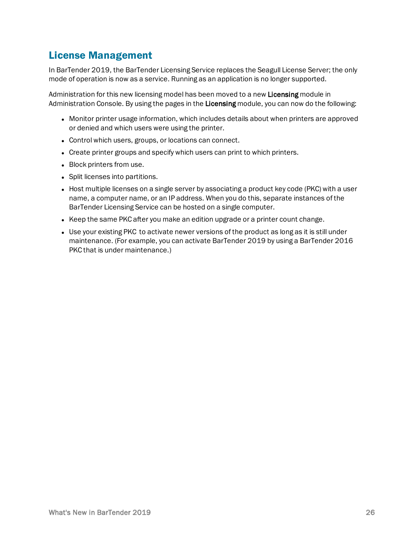# <span id="page-25-0"></span>License Management

In BarTender 2019, the BarTender Licensing Service replaces the Seagull License Server; the only mode of operation is now as a service. Running as an application is no longer supported.

Administration for this new licensing model has been moved to a new Licensing module in Administration Console. By using the pages in the Licensing module, you can now do the following:

- Monitor printer usage information, which includes details about when printers are approved or denied and which users were using the printer.
- Control which users, groups, or locations can connect.
- Create printer groups and specify which users can print to which printers.
- Block printers from use.
- Split licenses into partitions.
- Host multiple licenses on a single server by associating a product key code (PKC) with a user name, a computer name, or an IP address. When you do this, separate instances of the BarTender Licensing Service can be hosted on a single computer.
- Keep the same PKC after you make an edition upgrade or a printer count change.
- Use your existing PKC to activate newer versions of the product as long as it is still under maintenance. (For example, you can activate BarTender 2019 by using a BarTender 2016 PKC that is under maintenance.)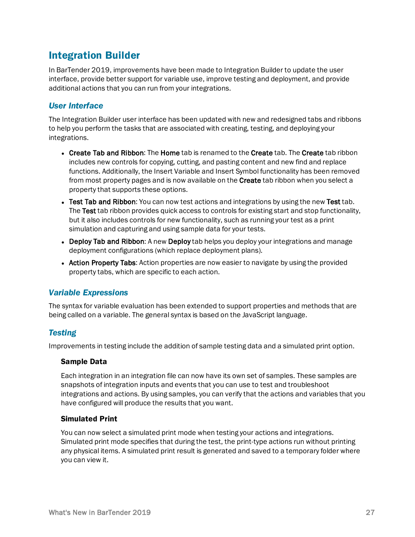# <span id="page-26-0"></span>Integration Builder

In BarTender 2019, improvements have been made to Integration Builder to update the user interface, provide better support for variable use, improve testing and deployment, and provide additional actions that you can run from your integrations.

# <span id="page-26-1"></span>*User Interface*

The Integration Builder user interface has been updated with new and redesigned tabs and ribbons to help you perform the tasks that are associated with creating, testing, and deploying your integrations.

- Create Tab and Ribbon: The Home tab is renamed to the Create tab. The Create tab ribbon includes new controls for copying, cutting, and pasting content and new find and replace functions. Additionally, the Insert Variable and Insert Symbol functionality has been removed from most property pages and is now available on the Create tab ribbon when you select a property that supports these options.
- Test Tab and Ribbon: You can now test actions and integrations by using the new Test tab. The Test tab ribbon provides quick access to controls for existing start and stop functionality, but it also includes controls for new functionality, such as running your test as a print simulation and capturing and using sample data for your tests.
- Deploy Tab and Ribbon: A new Deploy tab helps you deploy your integrations and manage deployment configurations (which replace deployment plans).
- Action Property Tabs: Action properties are now easier to navigate by using the provided property tabs, which are specific to each action.

# <span id="page-26-2"></span>*Variable Expressions*

The syntax for variable evaluation has been extended to support properties and methods that are being called on a variable. The general syntax is based on the JavaScript language.

# <span id="page-26-3"></span>*Testing*

Improvements in testing include the addition of sample testing data and a simulated print option.

#### <span id="page-26-4"></span>Sample Data

Each integration in an integration file can now have its own set of samples. These samples are snapshots of integration inputs and events that you can use to test and troubleshoot integrations and actions. By using samples, you can verify that the actions and variables that you have configured will produce the results that you want.

#### <span id="page-26-5"></span>Simulated Print

You can now select a simulated print mode when testing your actions and integrations. Simulated print mode specifies that during the test, the print-type actions run without printing any physical items. A simulated print result is generated and saved to a temporary folder where you can view it.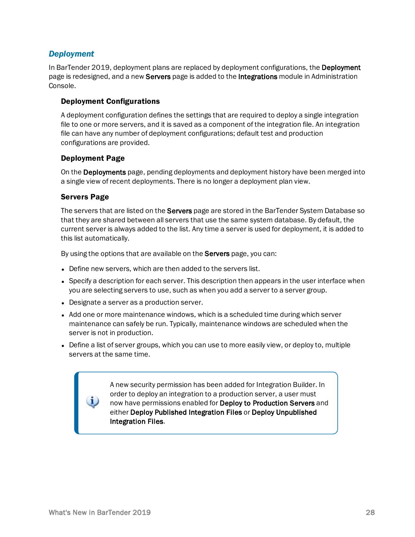# <span id="page-27-0"></span>*Deployment*

In BarTender 2019, deployment plans are replaced by deployment configurations, the Deployment page is redesigned, and a new **Servers** page is added to the **Integrations** module in Administration Console.

#### <span id="page-27-1"></span>Deployment Configurations

A deployment configuration defines the settings that are required to deploy a single integration file to one or more servers, and it is saved as a component of the integration file. An integration file can have any number of deployment configurations; default test and production configurations are provided.

### <span id="page-27-2"></span>Deployment Page

On the Deployments page, pending deployments and deployment history have been merged into a single view of recent deployments. There is no longer a deployment plan view.

### <span id="page-27-3"></span>Servers Page

The servers that are listed on the **Servers** page are stored in the BarTender System Database so that they are shared between all servers that use the same system database. By default, the current server is always added to the list. Any time a server is used for deployment, it is added to this list automatically.

By using the options that are available on the Servers page, you can:

- Define new servers, which are then added to the servers list.
- Specify a description for each server. This description then appears in the user interface when you are selecting servers to use, such as when you add a server to a server group.
- Designate a server as a production server.
- Add one or more maintenance windows, which is a scheduled time during which server maintenance can safely be run. Typically, maintenance windows are scheduled when the server is not in production.
- Define a list of server groups, which you can use to more easily view, or deploy to, multiple servers at the same time.

A new security permission has been added for Integration Builder. In order to deploy an integration to a production server, a user must now have permissions enabled for Deploy to Production Servers and either Deploy Published Integration Files or Deploy Unpublished Integration Files.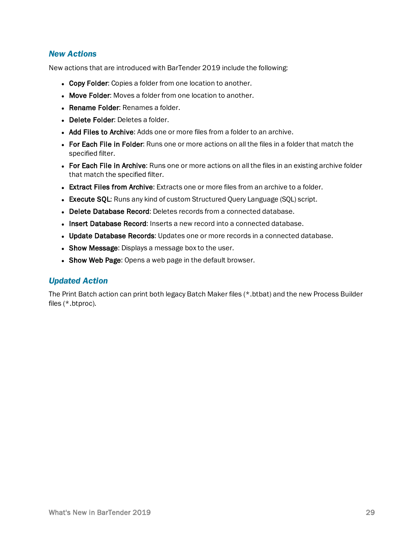# <span id="page-28-0"></span>*New Actions*

New actions that are introduced with BarTender 2019 include the following:

- Copy Folder: Copies a folder from one location to another.
- Move Folder: Moves a folder from one location to another.
- Rename Folder: Renames a folder.
- Delete Folder: Deletes a folder.
- Add Files to Archive: Adds one or more files from a folder to an archive.
- For Each File in Folder: Runs one or more actions on all the files in a folder that match the specified filter.
- For Each File in Archive: Runs one or more actions on all the files in an existing archive folder that match the specified filter.
- **Extract Files from Archive:** Extracts one or more files from an archive to a folder.
- Execute SQL: Runs any kind of custom Structured Query Language (SQL) script.
- Delete Database Record: Deletes records from a connected database.
- Insert Database Record: Inserts a new record into a connected database.
- Update Database Records: Updates one or more records in a connected database.
- Show Message: Displays a message box to the user.
- Show Web Page: Opens a web page in the default browser.

#### <span id="page-28-1"></span>*Updated Action*

The Print Batch action can print both legacy Batch Maker files (\*.btbat) and the new Process Builder files (\*.btproc).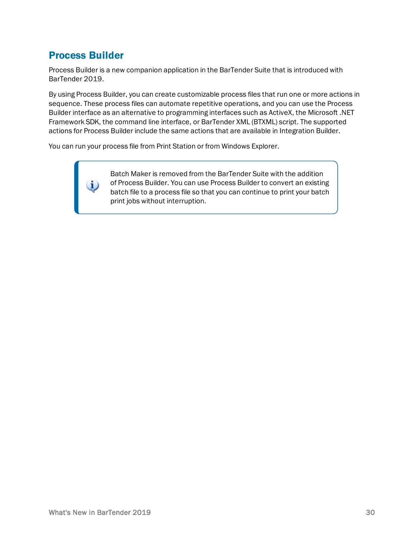# <span id="page-29-0"></span>Process Builder

i.

Process Builder is a new companion application in the BarTender Suite that is introduced with BarTender 2019.

By using Process Builder, you can create customizable process files that run one or more actions in sequence. These process files can automate repetitive operations, and you can use the Process Builder interface as an alternative to programming interfaces such as ActiveX, the Microsoft .NET Framework SDK, the command line interface, or BarTender XML (BTXML) script. The supported actions for Process Builder include the same actions that are available in Integration Builder.

You can run your process file from Print Station or from Windows Explorer.

Batch Maker is removed from the BarTender Suite with the addition of Process Builder. You can use Process Builder to convert an existing batch file to a process file so that you can continue to print your batch print jobs without interruption.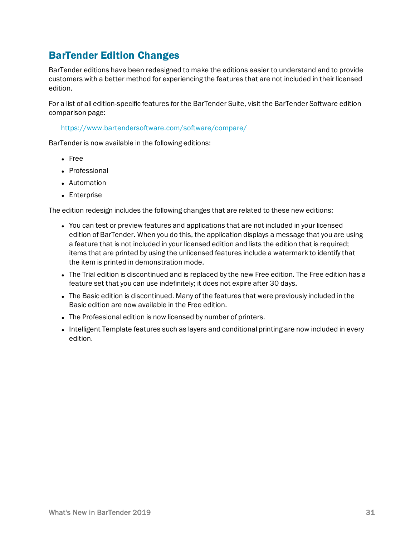# <span id="page-30-0"></span>BarTender Edition Changes

BarTender editions have been redesigned to make the editions easier to understand and to provide customers with a better method for experiencing the features that are not included in their licensed edition.

For a list of all edition-specific features for the BarTender Suite, visit the BarTender Software edition comparison page:

<https://www.bartendersoftware.com/software/compare/>

BarTender is now available in the following editions:

- $erce$
- **Professional**
- Automation
- Enterprise

The edition redesign includes the following changes that are related to these new editions:

- You can test or preview features and applications that are not included in your licensed edition of BarTender. When you do this, the application displays a message that you are using a feature that is not included in your licensed edition and lists the edition that is required; items that are printed by using the unlicensed features include a watermark to identify that the item is printed in demonstration mode.
- The Trial edition is discontinued and is replaced by the new Free edition. The Free edition has a feature set that you can use indefinitely; it does not expire after 30 days.
- The Basic edition is discontinued. Many of the features that were previously included in the Basic edition are now available in the Free edition.
- The Professional edition is now licensed by number of printers.
- Intelligent Template features such as layers and conditional printing are now included in every edition.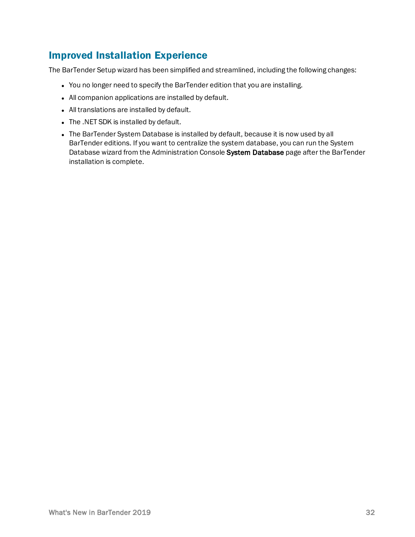# <span id="page-31-0"></span>Improved Installation Experience

The BarTender Setup wizard has been simplified and streamlined, including the following changes:

- You no longer need to specify the BarTender edition that you are installing.
- All companion applications are installed by default.
- All translations are installed by default.
- The .NET SDK is installed by default.
- The BarTender System Database is installed by default, because it is now used by all BarTender editions. If you want to centralize the system database, you can run the System Database wizard from the Administration Console System Database page after the BarTender installation is complete.